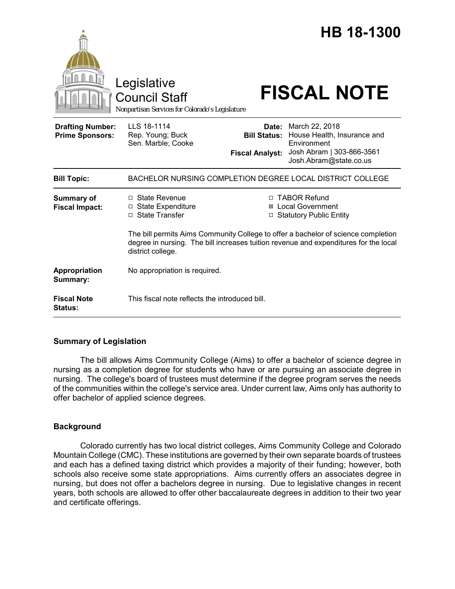|                                                   | Legislative<br><b>Council Staff</b><br>Nonpartisan Services for Colorado's Legislature                                                                                                         |                                                                          | <b>HB 18-1300</b><br><b>FISCAL NOTE</b>                                                                             |
|---------------------------------------------------|------------------------------------------------------------------------------------------------------------------------------------------------------------------------------------------------|--------------------------------------------------------------------------|---------------------------------------------------------------------------------------------------------------------|
| <b>Drafting Number:</b><br><b>Prime Sponsors:</b> | LLS 18-1114<br>Rep. Young; Buck<br>Sen. Marble; Cooke                                                                                                                                          | Date:<br><b>Bill Status:</b><br><b>Fiscal Analyst:</b>                   | March 22, 2018<br>House Health, Insurance and<br>Environment<br>Josh Abram   303-866-3561<br>Josh.Abram@state.co.us |
| <b>Bill Topic:</b>                                | BACHELOR NURSING COMPLETION DEGREE LOCAL DISTRICT COLLEGE                                                                                                                                      |                                                                          |                                                                                                                     |
| <b>Summary of</b><br><b>Fiscal Impact:</b>        | □ State Revenue<br>□ State Expenditure<br>□ State Transfer                                                                                                                                     | □ TABOR Refund<br><b>⊠</b> Local Government<br>□ Statutory Public Entity |                                                                                                                     |
|                                                   | The bill permits Aims Community College to offer a bachelor of science completion<br>degree in nursing. The bill increases tuition revenue and expenditures for the local<br>district college. |                                                                          |                                                                                                                     |
| Appropriation<br>Summary:                         | No appropriation is required.                                                                                                                                                                  |                                                                          |                                                                                                                     |
| <b>Fiscal Note</b><br><b>Status:</b>              | This fiscal note reflects the introduced bill.                                                                                                                                                 |                                                                          |                                                                                                                     |

# **Summary of Legislation**

The bill allows Aims Community College (Aims) to offer a bachelor of science degree in nursing as a completion degree for students who have or are pursuing an associate degree in nursing. The college's board of trustees must determine if the degree program serves the needs of the communities within the college's service area. Under current law, Aims only has authority to offer bachelor of applied science degrees.

## **Background**

Colorado currently has two local district colleges, Aims Community College and Colorado Mountain College (CMC). These institutions are governed by their own separate boards of trustees and each has a defined taxing district which provides a majority of their funding; however, both schools also receive some state appropriations. Aims currently offers an associates degree in nursing, but does not offer a bachelors degree in nursing. Due to legislative changes in recent years, both schools are allowed to offer other baccalaureate degrees in addition to their two year and certificate offerings.